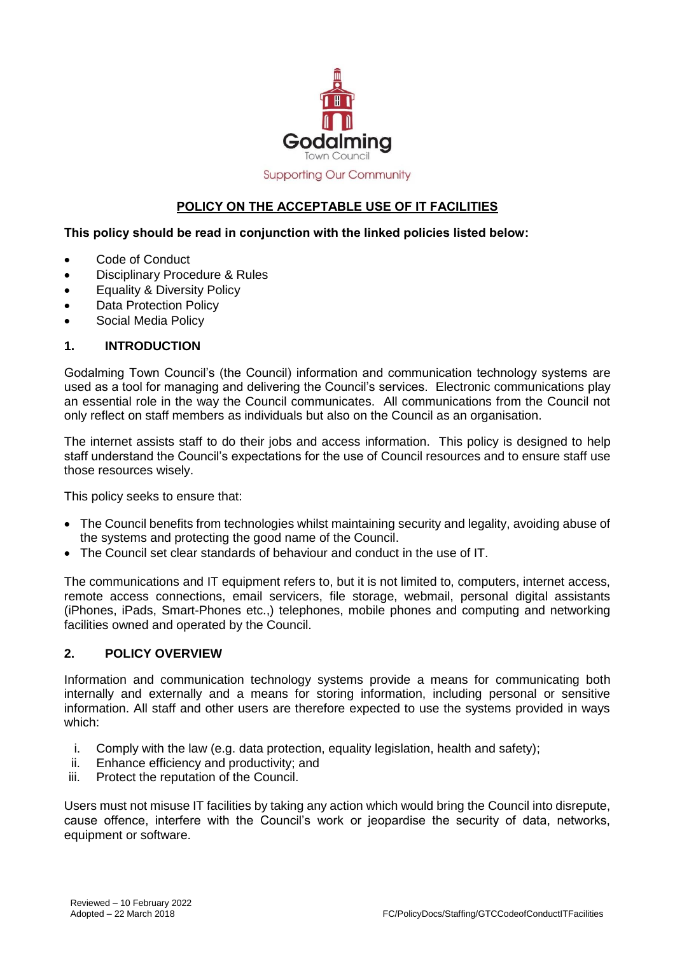

# **Supporting Our Community**

# **POLICY ON THE ACCEPTABLE USE OF IT FACILITIES**

### **This policy should be read in conjunction with the linked policies listed below:**

- Code of Conduct
- Disciplinary Procedure & Rules
- Equality & Diversity Policy
- Data Protection Policy
- Social Media Policy

#### **1. INTRODUCTION**

Godalming Town Council's (the Council) information and communication technology systems are used as a tool for managing and delivering the Council's services. Electronic communications play an essential role in the way the Council communicates. All communications from the Council not only reflect on staff members as individuals but also on the Council as an organisation.

The internet assists staff to do their jobs and access information. This policy is designed to help staff understand the Council's expectations for the use of Council resources and to ensure staff use those resources wisely.

This policy seeks to ensure that:

- The Council benefits from technologies whilst maintaining security and legality, avoiding abuse of the systems and protecting the good name of the Council.
- The Council set clear standards of behaviour and conduct in the use of IT.

The communications and IT equipment refers to, but it is not limited to, computers, internet access, remote access connections, email servicers, file storage, webmail, personal digital assistants (iPhones, iPads, Smart-Phones etc.,) telephones, mobile phones and computing and networking facilities owned and operated by the Council.

### **2. POLICY OVERVIEW**

Information and communication technology systems provide a means for communicating both internally and externally and a means for storing information, including personal or sensitive information. All staff and other users are therefore expected to use the systems provided in ways which:

- i. Comply with the law (e.g. data protection, equality legislation, health and safety);
- ii. Enhance efficiency and productivity; and
- iii. Protect the reputation of the Council.

Users must not misuse IT facilities by taking any action which would bring the Council into disrepute, cause offence, interfere with the Council's work or jeopardise the security of data, networks, equipment or software.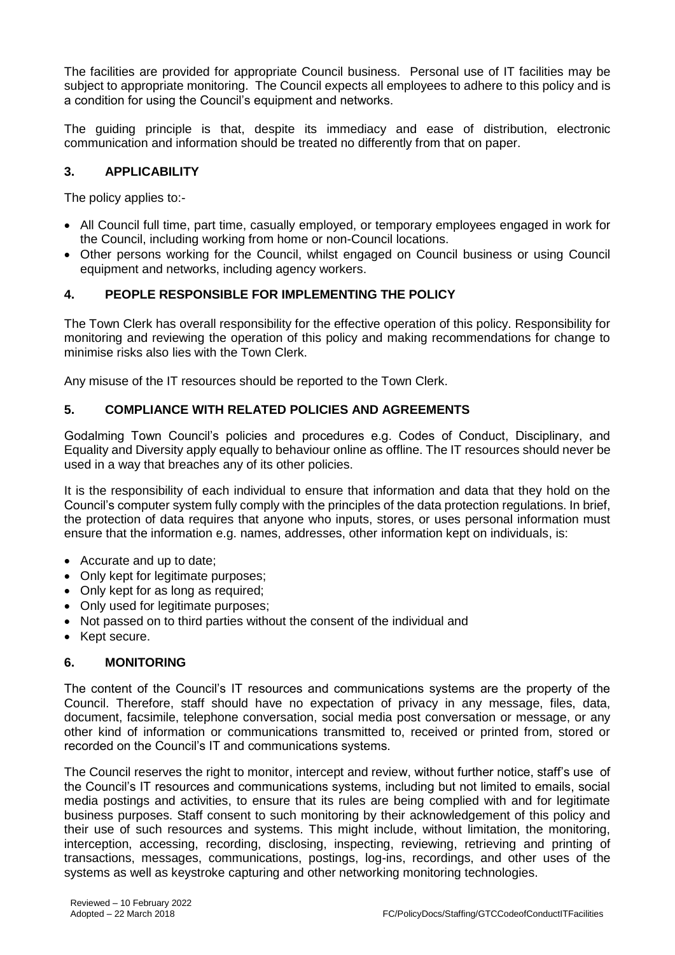The facilities are provided for appropriate Council business. Personal use of IT facilities may be subject to appropriate monitoring. The Council expects all employees to adhere to this policy and is a condition for using the Council's equipment and networks.

The guiding principle is that, despite its immediacy and ease of distribution, electronic communication and information should be treated no differently from that on paper.

# **3. APPLICABILITY**

The policy applies to:-

- All Council full time, part time, casually employed, or temporary employees engaged in work for the Council, including working from home or non-Council locations.
- Other persons working for the Council, whilst engaged on Council business or using Council equipment and networks, including agency workers.

# **4. PEOPLE RESPONSIBLE FOR IMPLEMENTING THE POLICY**

The Town Clerk has overall responsibility for the effective operation of this policy. Responsibility for monitoring and reviewing the operation of this policy and making recommendations for change to minimise risks also lies with the Town Clerk.

Any misuse of the IT resources should be reported to the Town Clerk.

# **5. COMPLIANCE WITH RELATED POLICIES AND AGREEMENTS**

Godalming Town Council's policies and procedures e.g. Codes of Conduct, Disciplinary, and Equality and Diversity apply equally to behaviour online as offline. The IT resources should never be used in a way that breaches any of its other policies.

It is the responsibility of each individual to ensure that information and data that they hold on the Council's computer system fully comply with the principles of the data protection regulations. In brief, the protection of data requires that anyone who inputs, stores, or uses personal information must ensure that the information e.g. names, addresses, other information kept on individuals, is:

- Accurate and up to date;
- Only kept for legitimate purposes;
- Only kept for as long as required;
- Only used for legitimate purposes;
- Not passed on to third parties without the consent of the individual and
- Kept secure.

### **6. MONITORING**

The content of the Council's IT resources and communications systems are the property of the Council. Therefore, staff should have no expectation of privacy in any message, files, data, document, facsimile, telephone conversation, social media post conversation or message, or any other kind of information or communications transmitted to, received or printed from, stored or recorded on the Council's IT and communications systems.

The Council reserves the right to monitor, intercept and review, without further notice, staff's use of the Council's IT resources and communications systems, including but not limited to emails, social media postings and activities, to ensure that its rules are being complied with and for legitimate business purposes. Staff consent to such monitoring by their acknowledgement of this policy and their use of such resources and systems. This might include, without limitation, the monitoring, interception, accessing, recording, disclosing, inspecting, reviewing, retrieving and printing of transactions, messages, communications, postings, log-ins, recordings, and other uses of the systems as well as keystroke capturing and other networking monitoring technologies.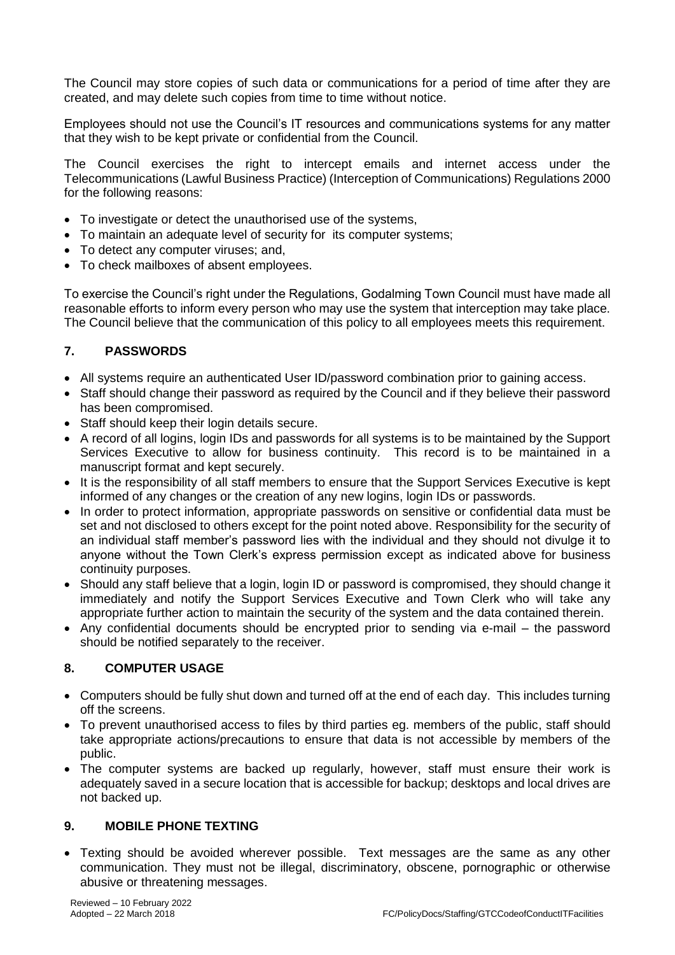The Council may store copies of such data or communications for a period of time after they are created, and may delete such copies from time to time without notice.

Employees should not use the Council's IT resources and communications systems for any matter that they wish to be kept private or confidential from the Council.

The Council exercises the right to intercept emails and internet access under the Telecommunications (Lawful Business Practice) (Interception of Communications) Regulations 2000 for the following reasons:

- To investigate or detect the unauthorised use of the systems,
- To maintain an adequate level of security for its computer systems;
- To detect any computer viruses; and,
- To check mailboxes of absent employees.

To exercise the Council's right under the Regulations, Godalming Town Council must have made all reasonable efforts to inform every person who may use the system that interception may take place. The Council believe that the communication of this policy to all employees meets this requirement.

# **7. PASSWORDS**

- All systems require an authenticated User ID/password combination prior to gaining access.
- Staff should change their password as required by the Council and if they believe their password has been compromised.
- Staff should keep their login details secure.
- A record of all logins, login IDs and passwords for all systems is to be maintained by the Support Services Executive to allow for business continuity. This record is to be maintained in a manuscript format and kept securely.
- It is the responsibility of all staff members to ensure that the Support Services Executive is kept informed of any changes or the creation of any new logins, login IDs or passwords.
- In order to protect information, appropriate passwords on sensitive or confidential data must be set and not disclosed to others except for the point noted above. Responsibility for the security of an individual staff member's password lies with the individual and they should not divulge it to anyone without the Town Clerk's express permission except as indicated above for business continuity purposes.
- Should any staff believe that a login, login ID or password is compromised, they should change it immediately and notify the Support Services Executive and Town Clerk who will take any appropriate further action to maintain the security of the system and the data contained therein.
- Any confidential documents should be encrypted prior to sending via e-mail the password should be notified separately to the receiver.

# **8. COMPUTER USAGE**

- Computers should be fully shut down and turned off at the end of each day. This includes turning off the screens.
- To prevent unauthorised access to files by third parties eg. members of the public, staff should take appropriate actions/precautions to ensure that data is not accessible by members of the public.
- The computer systems are backed up regularly, however, staff must ensure their work is adequately saved in a secure location that is accessible for backup; desktops and local drives are not backed up.

### **9. MOBILE PHONE TEXTING**

 Texting should be avoided wherever possible. Text messages are the same as any other communication. They must not be illegal, discriminatory, obscene, pornographic or otherwise abusive or threatening messages.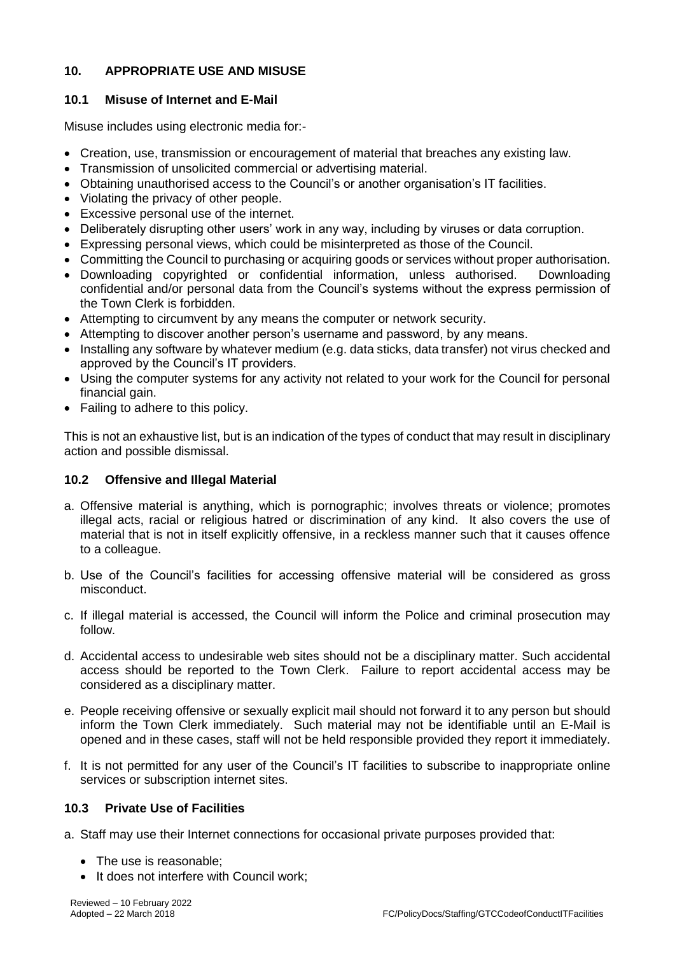# **10. APPROPRIATE USE AND MISUSE**

# **10.1 Misuse of Internet and E-Mail**

Misuse includes using electronic media for:-

- Creation, use, transmission or encouragement of material that breaches any existing law.
- Transmission of unsolicited commercial or advertising material.
- Obtaining unauthorised access to the Council's or another organisation's IT facilities.
- Violating the privacy of other people.
- Excessive personal use of the internet.
- Deliberately disrupting other users' work in any way, including by viruses or data corruption.
- Expressing personal views, which could be misinterpreted as those of the Council.
- Committing the Council to purchasing or acquiring goods or services without proper authorisation.
- Downloading copyrighted or confidential information, unless authorised. Downloading confidential and/or personal data from the Council's systems without the express permission of the Town Clerk is forbidden.
- Attempting to circumvent by any means the computer or network security.
- Attempting to discover another person's username and password, by any means.
- Installing any software by whatever medium (e.g. data sticks, data transfer) not virus checked and approved by the Council's IT providers.
- Using the computer systems for any activity not related to your work for the Council for personal financial gain.
- Failing to adhere to this policy.

This is not an exhaustive list, but is an indication of the types of conduct that may result in disciplinary action and possible dismissal.

### **10.2 Offensive and Illegal Material**

- a. Offensive material is anything, which is pornographic; involves threats or violence; promotes illegal acts, racial or religious hatred or discrimination of any kind. It also covers the use of material that is not in itself explicitly offensive, in a reckless manner such that it causes offence to a colleague.
- b. Use of the Council's facilities for accessing offensive material will be considered as gross misconduct.
- c. If illegal material is accessed, the Council will inform the Police and criminal prosecution may follow.
- d. Accidental access to undesirable web sites should not be a disciplinary matter. Such accidental access should be reported to the Town Clerk. Failure to report accidental access may be considered as a disciplinary matter.
- e. People receiving offensive or sexually explicit mail should not forward it to any person but should inform the Town Clerk immediately. Such material may not be identifiable until an E-Mail is opened and in these cases, staff will not be held responsible provided they report it immediately.
- f. It is not permitted for any user of the Council's IT facilities to subscribe to inappropriate online services or subscription internet sites.

# **10.3 Private Use of Facilities**

- a. Staff may use their Internet connections for occasional private purposes provided that:
	- The use is reasonable;
	- It does not interfere with Council work: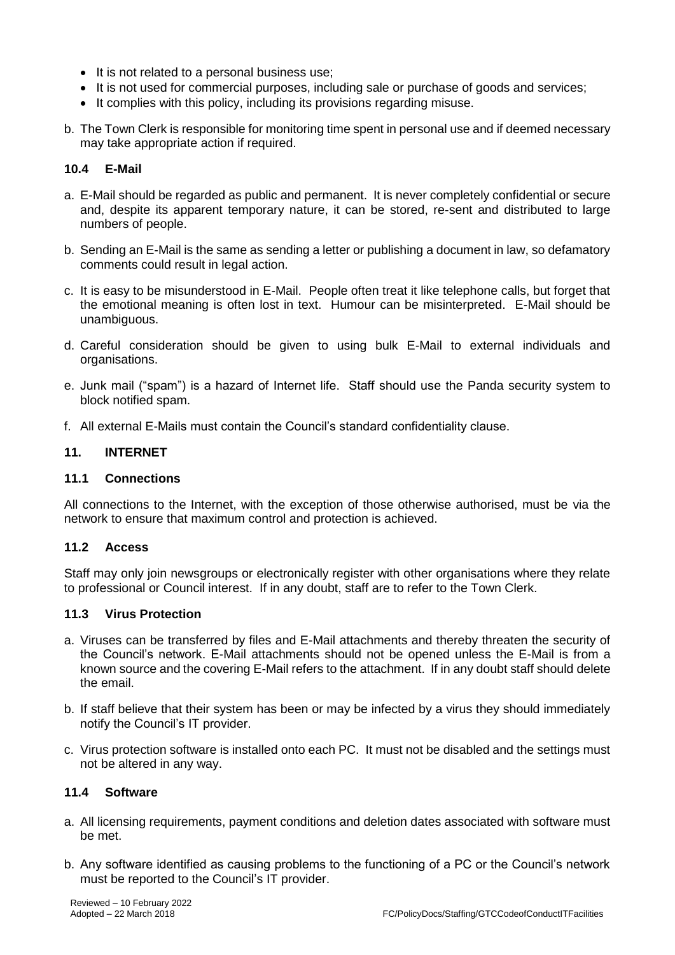- It is not related to a personal business use;
- It is not used for commercial purposes, including sale or purchase of goods and services;
- It complies with this policy, including its provisions regarding misuse.
- b. The Town Clerk is responsible for monitoring time spent in personal use and if deemed necessary may take appropriate action if required.

# **10.4 E-Mail**

- a. E-Mail should be regarded as public and permanent. It is never completely confidential or secure and, despite its apparent temporary nature, it can be stored, re-sent and distributed to large numbers of people.
- b. Sending an E-Mail is the same as sending a letter or publishing a document in law, so defamatory comments could result in legal action.
- c. It is easy to be misunderstood in E-Mail. People often treat it like telephone calls, but forget that the emotional meaning is often lost in text. Humour can be misinterpreted. E-Mail should be unambiguous.
- d. Careful consideration should be given to using bulk E-Mail to external individuals and organisations.
- e. Junk mail ("spam") is a hazard of Internet life. Staff should use the Panda security system to block notified spam.
- f. All external E-Mails must contain the Council's standard confidentiality clause.

# **11. INTERNET**

# **11.1 Connections**

All connections to the Internet, with the exception of those otherwise authorised, must be via the network to ensure that maximum control and protection is achieved.

### **11.2 Access**

Staff may only join newsgroups or electronically register with other organisations where they relate to professional or Council interest. If in any doubt, staff are to refer to the Town Clerk.

### **11.3 Virus Protection**

- a. Viruses can be transferred by files and E-Mail attachments and thereby threaten the security of the Council's network. E-Mail attachments should not be opened unless the E-Mail is from a known source and the covering E-Mail refers to the attachment. If in any doubt staff should delete the email.
- b. If staff believe that their system has been or may be infected by a virus they should immediately notify the Council's IT provider.
- c. Virus protection software is installed onto each PC. It must not be disabled and the settings must not be altered in any way.

### **11.4 Software**

- a. All licensing requirements, payment conditions and deletion dates associated with software must be met.
- b. Any software identified as causing problems to the functioning of a PC or the Council's network must be reported to the Council's IT provider.